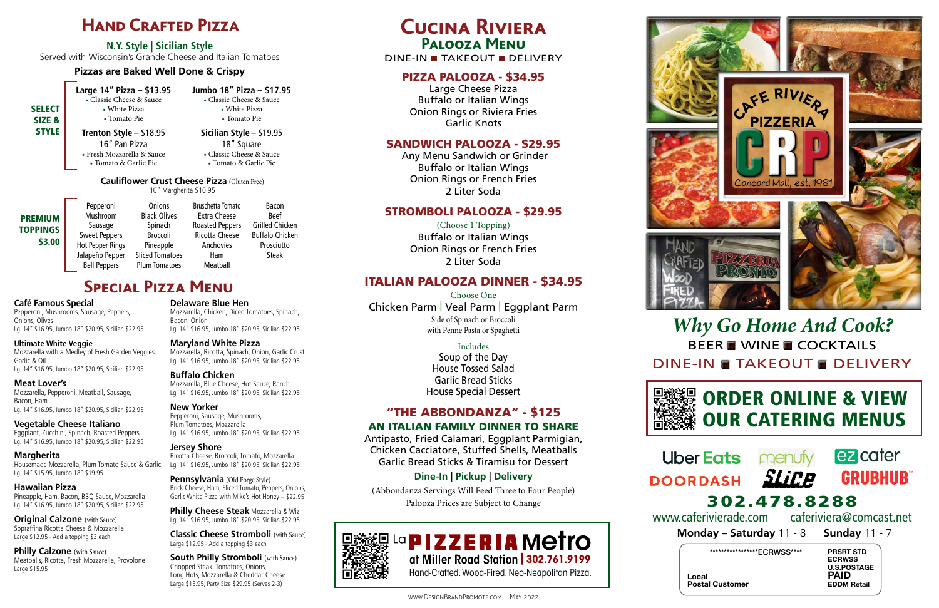PRSRT STD ECRWSS U.S.POSTAGE PAID EDDM Retail

Local Postal Customer

# **Hand Crafted Pizza**

**N.Y. Style | Sicilian Style** Served with Wisconsin's Grande Cheese and Italian Tomatoes

### **Pizzas are Baked Well Done & Crispy**

# **Cucina Riviera Palooza Menu**

### DINE-IN TAKEOUT DELIVERY

## PIZZA PALOOZA - \$34.95

Large Cheese Pizza Buffalo or Italian Wings Onion Rings or Riviera Fries Garlic Knots

### SANDWICH PALOOZA - \$29.95

 Any Menu Sandwich or Grinder Buffalo or Italian Wings Onion Rings or French Fries 2 Liter Soda

### STROMBOLI PALOOZA - \$29.95

(Choose 1 Topping) Buffalo or Italian Wings Onion Rings or French Fries 2 Liter Soda

## ITALIAN PALOOZA DINNER - \$34.95

- **SELECT** SIZE & STYLE
- **Large 14" Pizza \$13.95 Jumbo 18" Pizza \$17.95** • Classic Cheese & Sauce • Classic Cheese & Sauce
- 
- White Pizza White Pizza • Tomato Pie • Tomato Pie **Trenton Style** – \$18.95 **Sicilian Style** – \$19.95
	-

Choose One Chicken Parm | Veal Parm | Eggplant Parm Side of Spinach or Broccoli with Penne Pasta or Spaghetti

> Includes Soup of the Day House Tossed Salad Garlic Bread Sticks House Special Dessert

## "THE ABBONDANZA" - \$125 AN ITALIAN FAMILY DINNER TO SHARE

Antipasto, Fried Calamari, Eggplant Parmigian, Chicken Cacciatore, Stuffed Shells, Meatballs Garlic Bread Sticks & Tiramisu for Dessert

# *Why Go Home And Cook?* BEER WINE COCKTAILS DINE-IN TAKEOUT DELIVERY

# ORDER ONLINE & VIEW **WEAR** OUR CATERING MENUS

# **Uber Eats DOORDASH**





## **Dine-In | Pickup | Delivery**

(Abbondanza Servings Will Feed Three to Four People) Palooza Prices are Subject to Change



- 
- 16" Pan Pizza 18" Square • Fresh Mozzarella & Sauce • Classic Cheese & Sauce • Tomato & Garlic Pie • Tomato & Garlic Pie

**Original Calzone** (with Sauce) Sopraffina Ricotta Cheese & Mozzarella Large \$12.95 - Add a topping \$3 each

**Philly Calzone** (with Sauce) Meatballs, Ricotta, Fresh Mozzarella, Provolone Large \$15.95

| <b>PREMIUM</b><br><b>TOPPINGS</b><br>\$3.00 | Pepperoni<br>Mushroom<br>Sausage<br><b>Sweet Peppers</b><br><b>Hot Pepper Rings</b> | Onions<br><b>Black Olives</b><br>Spinach<br><b>Broccoli</b><br>Pineapple | <b>Bruschetta Tomato</b><br><b>Extra Cheese</b><br><b>Roasted Peppers</b><br><b>Ricotta Cheese</b><br>Anchovies |
|---------------------------------------------|-------------------------------------------------------------------------------------|--------------------------------------------------------------------------|-----------------------------------------------------------------------------------------------------------------|
|                                             | Jalapeño Pepper                                                                     | <b>Sliced Tomatoes</b>                                                   | Ham                                                                                                             |
|                                             | <b>Bell Peppers</b>                                                                 | <b>Plum Tomatoes</b>                                                     | Meatball                                                                                                        |

Bacon Beef Grilled Chicken Buffalo Chicken Prosciutto Steak



**Monday – Saturday** 11 - 8 **Sunday** 11 - 7 302.478.8288 www.caferivierade.com caferiviera@comcast.net

\*\*\*\*\*\*\*\*\*\*\*\*\*\*\*\*\*\*ECRWSS\*\*\*\*

**South Philly Stromboli** (with Sauce) Chopped Steak, Tomatoes, Onions, Long Hots, Mozzarella & Cheddar Cheese Large \$15.95, Party Size \$29.95 (Serves 2-3)

La **PIZZERIA** Metro **| 302.761.9199** Hand-Crafted. Wood-Fired. Neo-Neapolitan Pizza.

# **Special Pizza Menu**

### **Café Famous Special**

Pepperoni, Mushrooms, Sausage, Peppers, Onions, Olives Lg. 14" \$16.95, Jumbo 18" \$20.95, Sicilian \$22.95

### **Ultimate White Veggie** Mozzarella with a Medley of Fresh Garden Veggies, Garlic & Oil Lg. 14" \$16.95, Jumbo 18" \$20.95, Sicilian \$22.95

**Meat Lover's**  Mozzarella, Pepperoni, Meatball, Sausage, Bacon, Ham

Lg. 14" \$16.95, Jumbo 18" \$20.95, Sicilian \$22.95

**Vegetable Cheese Italiano**

Eggplant, Zucchini, Spinach, Roasted Peppers Lg. 14" \$16.95, Jumbo 18" \$20.95, Sicilian \$22.95

### **Margherita**  Housemade Mozzarella, Plum Tomato Sauce & Garlic

Lg. 14" \$15.95, Jumbo 18" \$19.95 **Hawaiian Pizza** 

Pineapple, Ham, Bacon, BBQ Sauce, Mozzarella Lg. 14" \$16.95, Jumbo 18" \$20.95, Sicilian \$22.95

**Delaware Blue Hen**  Mozzarella, Chicken, Diced Tomatoes, Spinach, Bacon, Onion Lg. 14" \$16.95, Jumbo 18" \$20.95, Sicilian \$22.95

**Maryland White Pizza** Mozzarella, Ricotta, Spinach, Onion, Garlic Crust Lg. 14" \$16.95, Jumbo 18" \$20.95, Sicilian \$22.95

### **Buffalo Chicken**

Mozzarella, Blue Cheese, Hot Sauce, Ranch Lg. 14" \$16.95, Jumbo 18" \$20.95, Sicilian \$22.95

### **New Yorker** Pepperoni, Sausage, Mushrooms,

Plum Tomatoes, Mozzarella Lg. 14" \$16.95, Jumbo 18" \$20.95, Sicilian \$22.95

**Jersey Shore** Ricotta Cheese, Broccoli, Tomato, Mozzarella Lg. 14" \$16.95, Jumbo 18" \$20.95, Sicilian \$22.95

**Pennsylvania** (Old Forge Style)

Brick Cheese, Ham, Sliced Tomato, Peppers, Onions, Garlic White Pizza with Mike's Hot Honey – \$22.95

**Philly Cheese Steak** Mozzarella & Wiz Lg. 14" \$16.95, Jumbo 18" \$20.95, Sicilian \$22.95

**Classic Cheese Stromboli** (with Sauce) Large \$12.95 - Add a topping \$3 each









### **Cauliflower Crust Cheese Pizza** (Gluten Free) 10" Margherita \$10.95